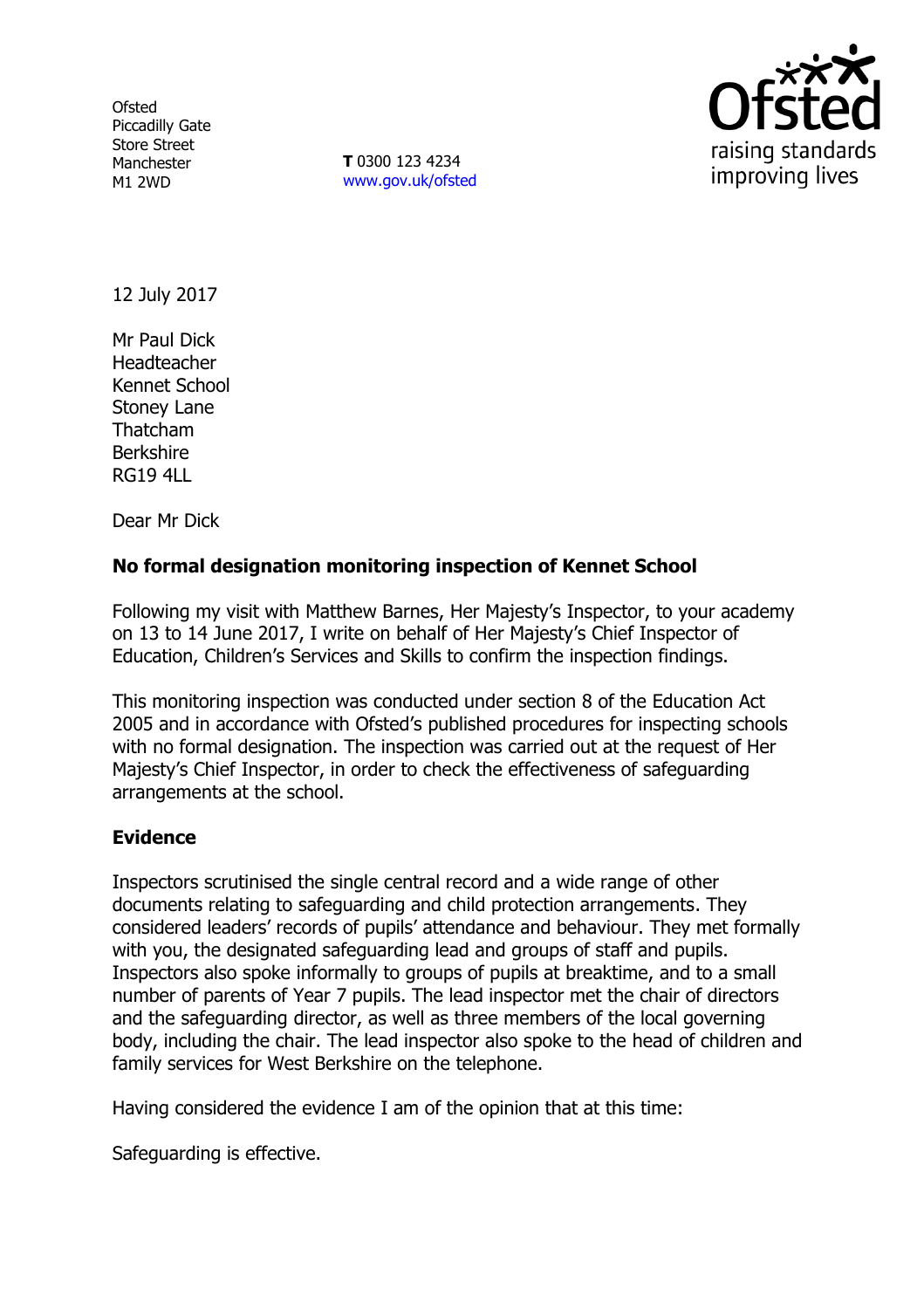**Ofsted** Piccadilly Gate Store Street Manchester M1 2WD

**T** 0300 123 4234 www.gov.uk/ofsted



12 July 2017

Mr Paul Dick Headteacher Kennet School Stoney Lane Thatcham Berkshire RG19 4LL

Dear Mr Dick

# **No formal designation monitoring inspection of Kennet School**

Following my visit with Matthew Barnes, Her Majesty's Inspector, to your academy on 13 to 14 June 2017, I write on behalf of Her Majesty's Chief Inspector of Education, Children's Services and Skills to confirm the inspection findings.

This monitoring inspection was conducted under section 8 of the Education Act 2005 and in accordance with Ofsted's published procedures for inspecting schools with no formal designation. The inspection was carried out at the request of Her Majesty's Chief Inspector, in order to check the effectiveness of safeguarding arrangements at the school.

### **Evidence**

Inspectors scrutinised the single central record and a wide range of other documents relating to safeguarding and child protection arrangements. They considered leaders' records of pupils' attendance and behaviour. They met formally with you, the designated safeguarding lead and groups of staff and pupils. Inspectors also spoke informally to groups of pupils at breaktime, and to a small number of parents of Year 7 pupils. The lead inspector met the chair of directors and the safeguarding director, as well as three members of the local governing body, including the chair. The lead inspector also spoke to the head of children and family services for West Berkshire on the telephone.

Having considered the evidence I am of the opinion that at this time:

Safeguarding is effective.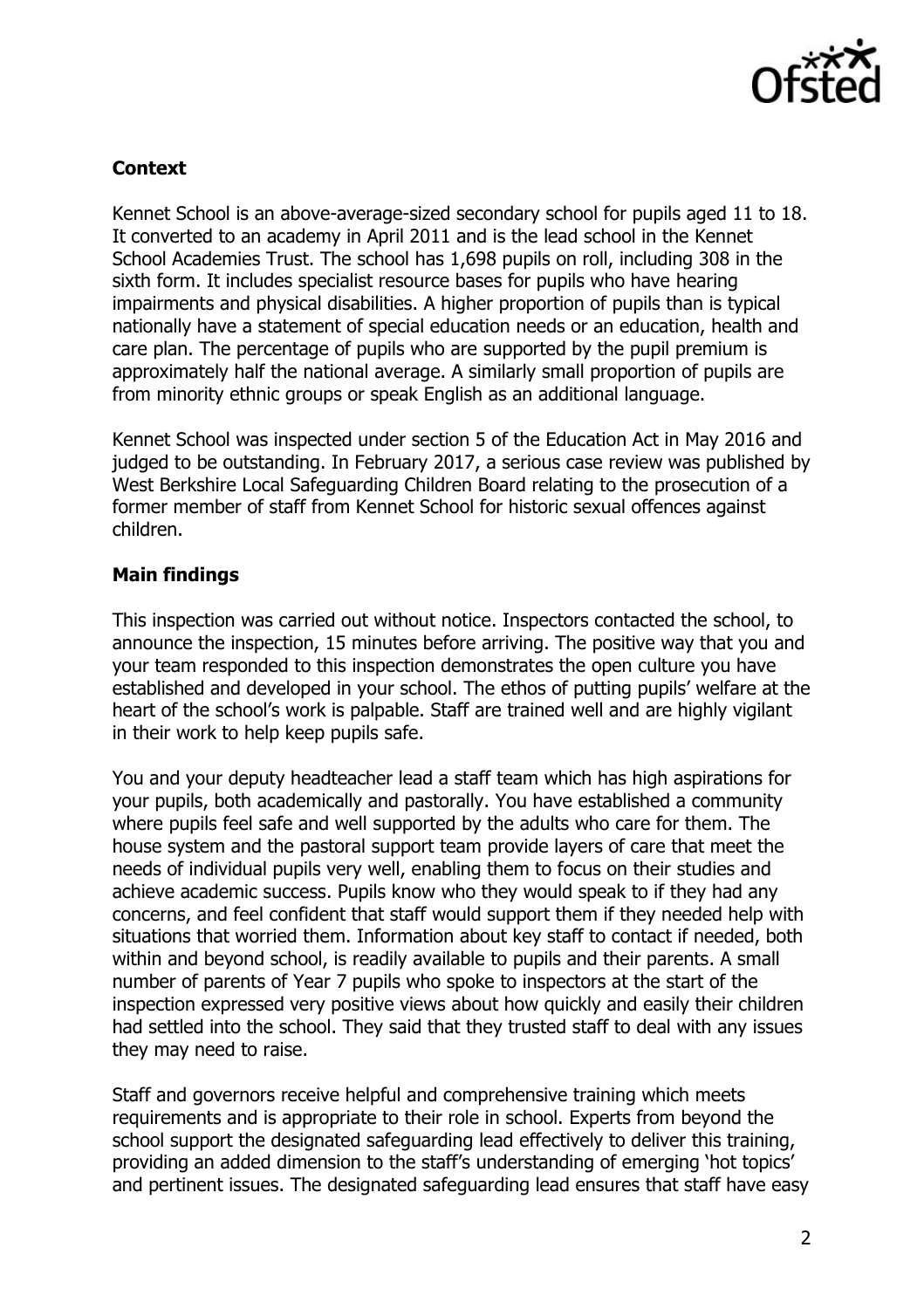

## **Context**

Kennet School is an above-average-sized secondary school for pupils aged 11 to 18. It converted to an academy in April 2011 and is the lead school in the Kennet School Academies Trust. The school has 1,698 pupils on roll, including 308 in the sixth form. It includes specialist resource bases for pupils who have hearing impairments and physical disabilities. A higher proportion of pupils than is typical nationally have a statement of special education needs or an education, health and care plan. The percentage of pupils who are supported by the pupil premium is approximately half the national average. A similarly small proportion of pupils are from minority ethnic groups or speak English as an additional language.

Kennet School was inspected under section 5 of the Education Act in May 2016 and judged to be outstanding. In February 2017, a serious case review was published by West Berkshire Local Safeguarding Children Board relating to the prosecution of a former member of staff from Kennet School for historic sexual offences against children.

### **Main findings**

This inspection was carried out without notice. Inspectors contacted the school, to announce the inspection, 15 minutes before arriving. The positive way that you and your team responded to this inspection demonstrates the open culture you have established and developed in your school. The ethos of putting pupils' welfare at the heart of the school's work is palpable. Staff are trained well and are highly vigilant in their work to help keep pupils safe.

You and your deputy headteacher lead a staff team which has high aspirations for your pupils, both academically and pastorally. You have established a community where pupils feel safe and well supported by the adults who care for them. The house system and the pastoral support team provide layers of care that meet the needs of individual pupils very well, enabling them to focus on their studies and achieve academic success. Pupils know who they would speak to if they had any concerns, and feel confident that staff would support them if they needed help with situations that worried them. Information about key staff to contact if needed, both within and beyond school, is readily available to pupils and their parents. A small number of parents of Year 7 pupils who spoke to inspectors at the start of the inspection expressed very positive views about how quickly and easily their children had settled into the school. They said that they trusted staff to deal with any issues they may need to raise.

Staff and governors receive helpful and comprehensive training which meets requirements and is appropriate to their role in school. Experts from beyond the school support the designated safeguarding lead effectively to deliver this training, providing an added dimension to the staff's understanding of emerging 'hot topics' and pertinent issues. The designated safeguarding lead ensures that staff have easy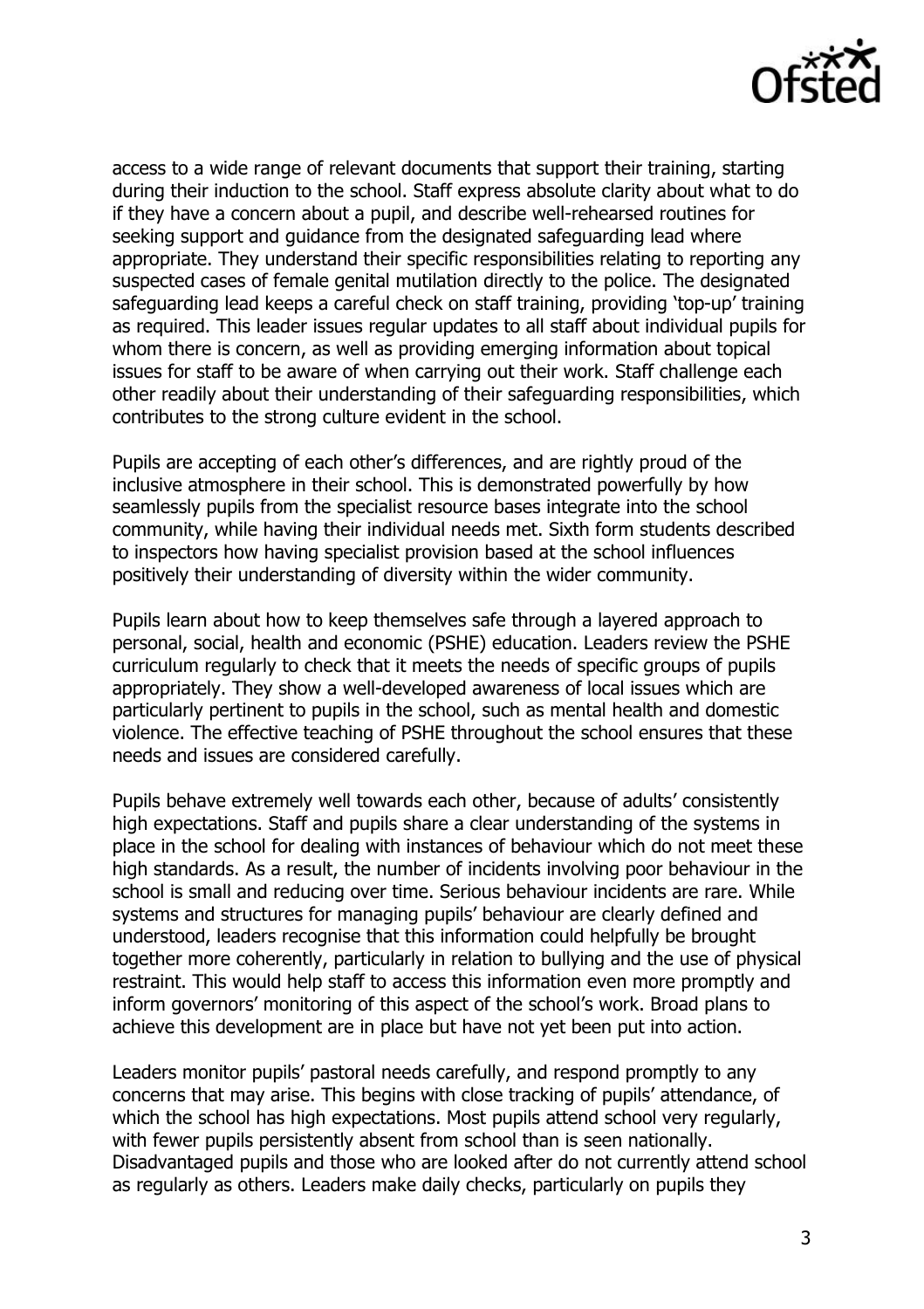

access to a wide range of relevant documents that support their training, starting during their induction to the school. Staff express absolute clarity about what to do if they have a concern about a pupil, and describe well-rehearsed routines for seeking support and guidance from the designated safeguarding lead where appropriate. They understand their specific responsibilities relating to reporting any suspected cases of female genital mutilation directly to the police. The designated safeguarding lead keeps a careful check on staff training, providing 'top-up' training as required. This leader issues regular updates to all staff about individual pupils for whom there is concern, as well as providing emerging information about topical issues for staff to be aware of when carrying out their work. Staff challenge each other readily about their understanding of their safeguarding responsibilities, which contributes to the strong culture evident in the school.

Pupils are accepting of each other's differences, and are rightly proud of the inclusive atmosphere in their school. This is demonstrated powerfully by how seamlessly pupils from the specialist resource bases integrate into the school community, while having their individual needs met. Sixth form students described to inspectors how having specialist provision based at the school influences positively their understanding of diversity within the wider community.

Pupils learn about how to keep themselves safe through a layered approach to personal, social, health and economic (PSHE) education. Leaders review the PSHE curriculum regularly to check that it meets the needs of specific groups of pupils appropriately. They show a well-developed awareness of local issues which are particularly pertinent to pupils in the school, such as mental health and domestic violence. The effective teaching of PSHE throughout the school ensures that these needs and issues are considered carefully.

Pupils behave extremely well towards each other, because of adults' consistently high expectations. Staff and pupils share a clear understanding of the systems in place in the school for dealing with instances of behaviour which do not meet these high standards. As a result, the number of incidents involving poor behaviour in the school is small and reducing over time. Serious behaviour incidents are rare. While systems and structures for managing pupils' behaviour are clearly defined and understood, leaders recognise that this information could helpfully be brought together more coherently, particularly in relation to bullying and the use of physical restraint. This would help staff to access this information even more promptly and inform governors' monitoring of this aspect of the school's work. Broad plans to achieve this development are in place but have not yet been put into action.

Leaders monitor pupils' pastoral needs carefully, and respond promptly to any concerns that may arise. This begins with close tracking of pupils' attendance, of which the school has high expectations. Most pupils attend school very regularly, with fewer pupils persistently absent from school than is seen nationally. Disadvantaged pupils and those who are looked after do not currently attend school as regularly as others. Leaders make daily checks, particularly on pupils they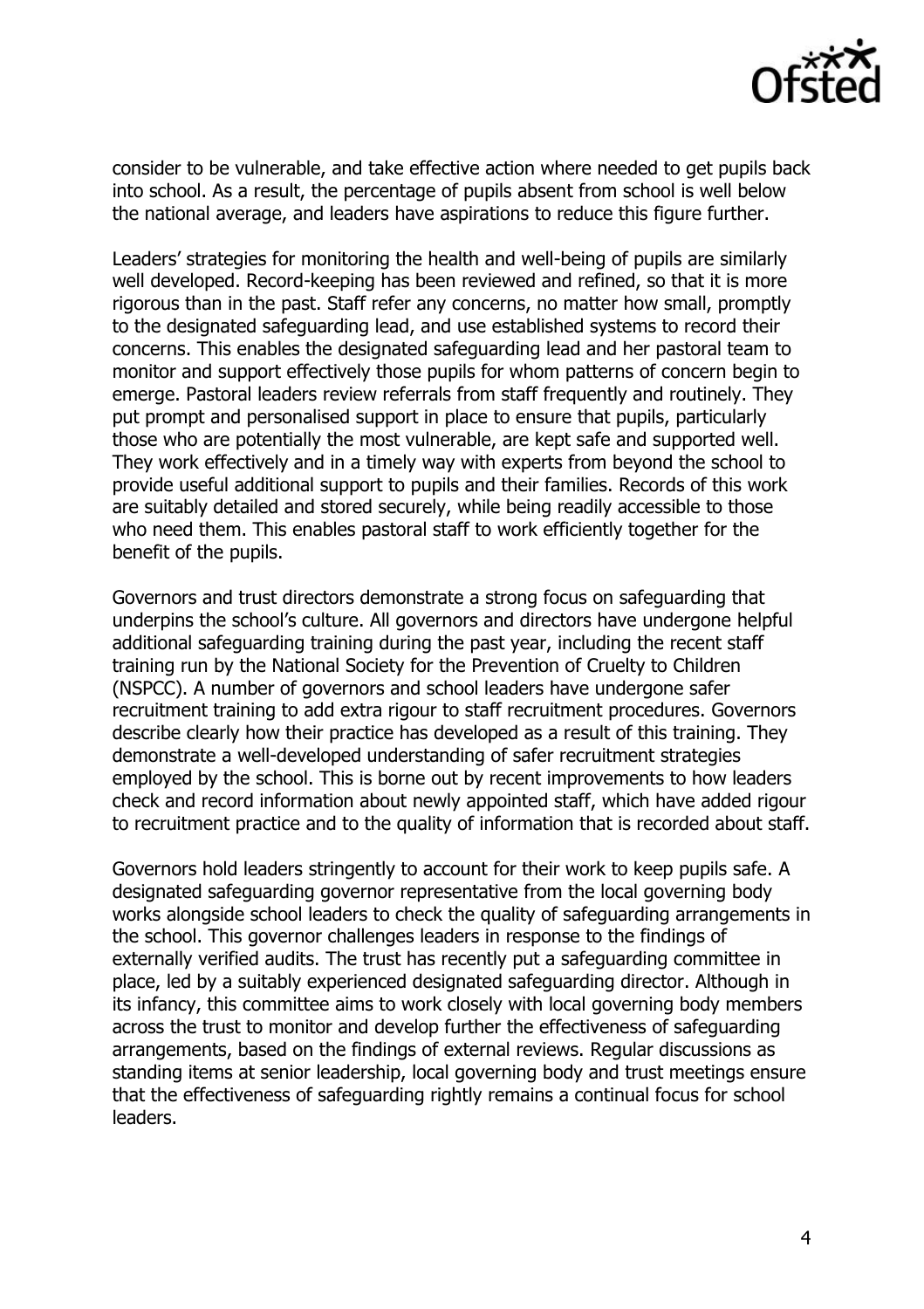

consider to be vulnerable, and take effective action where needed to get pupils back into school. As a result, the percentage of pupils absent from school is well below the national average, and leaders have aspirations to reduce this figure further.

Leaders' strategies for monitoring the health and well-being of pupils are similarly well developed. Record-keeping has been reviewed and refined, so that it is more rigorous than in the past. Staff refer any concerns, no matter how small, promptly to the designated safeguarding lead, and use established systems to record their concerns. This enables the designated safeguarding lead and her pastoral team to monitor and support effectively those pupils for whom patterns of concern begin to emerge. Pastoral leaders review referrals from staff frequently and routinely. They put prompt and personalised support in place to ensure that pupils, particularly those who are potentially the most vulnerable, are kept safe and supported well. They work effectively and in a timely way with experts from beyond the school to provide useful additional support to pupils and their families. Records of this work are suitably detailed and stored securely, while being readily accessible to those who need them. This enables pastoral staff to work efficiently together for the benefit of the pupils.

Governors and trust directors demonstrate a strong focus on safeguarding that underpins the school's culture. All governors and directors have undergone helpful additional safeguarding training during the past year, including the recent staff training run by the National Society for the Prevention of Cruelty to Children (NSPCC). A number of governors and school leaders have undergone safer recruitment training to add extra rigour to staff recruitment procedures. Governors describe clearly how their practice has developed as a result of this training. They demonstrate a well-developed understanding of safer recruitment strategies employed by the school. This is borne out by recent improvements to how leaders check and record information about newly appointed staff, which have added rigour to recruitment practice and to the quality of information that is recorded about staff.

Governors hold leaders stringently to account for their work to keep pupils safe. A designated safeguarding governor representative from the local governing body works alongside school leaders to check the quality of safeguarding arrangements in the school. This governor challenges leaders in response to the findings of externally verified audits. The trust has recently put a safeguarding committee in place, led by a suitably experienced designated safeguarding director. Although in its infancy, this committee aims to work closely with local governing body members across the trust to monitor and develop further the effectiveness of safeguarding arrangements, based on the findings of external reviews. Regular discussions as standing items at senior leadership, local governing body and trust meetings ensure that the effectiveness of safeguarding rightly remains a continual focus for school leaders.